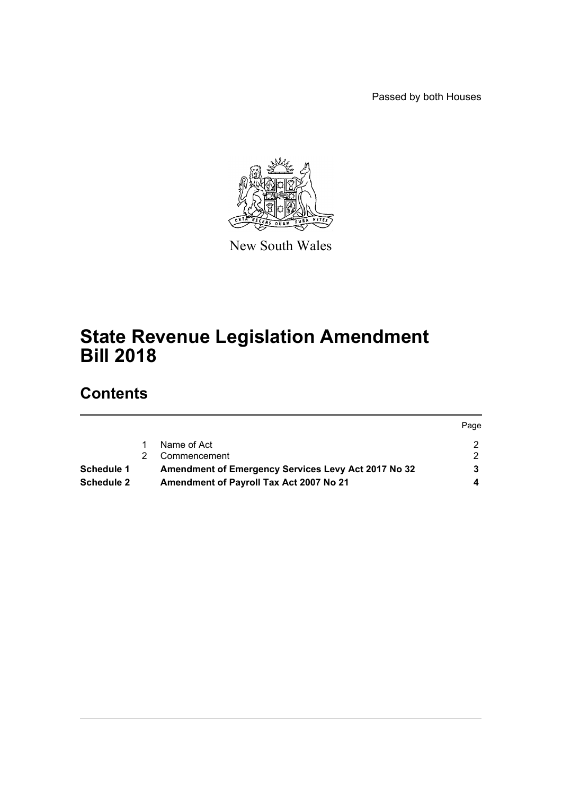Passed by both Houses



New South Wales

## **State Revenue Legislation Amendment Bill 2018**

## **Contents**

|                   |                                                     | Page |
|-------------------|-----------------------------------------------------|------|
|                   | Name of Act                                         |      |
|                   | Commencement                                        |      |
| <b>Schedule 1</b> | Amendment of Emergency Services Levy Act 2017 No 32 |      |
| <b>Schedule 2</b> | Amendment of Payroll Tax Act 2007 No 21             |      |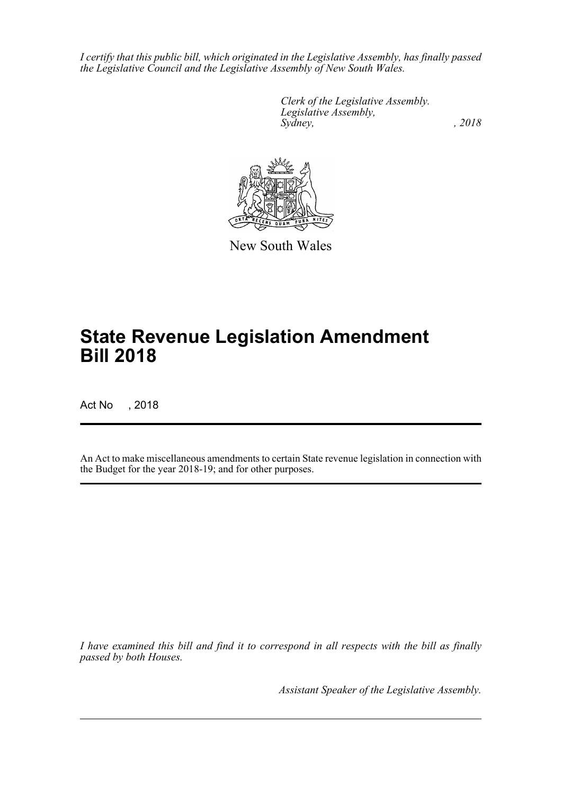*I certify that this public bill, which originated in the Legislative Assembly, has finally passed the Legislative Council and the Legislative Assembly of New South Wales.*

> *Clerk of the Legislative Assembly. Legislative Assembly, Sydney, , 2018*



New South Wales

# **State Revenue Legislation Amendment Bill 2018**

Act No , 2018

An Act to make miscellaneous amendments to certain State revenue legislation in connection with the Budget for the year 2018-19; and for other purposes.

*I have examined this bill and find it to correspond in all respects with the bill as finally passed by both Houses.*

*Assistant Speaker of the Legislative Assembly.*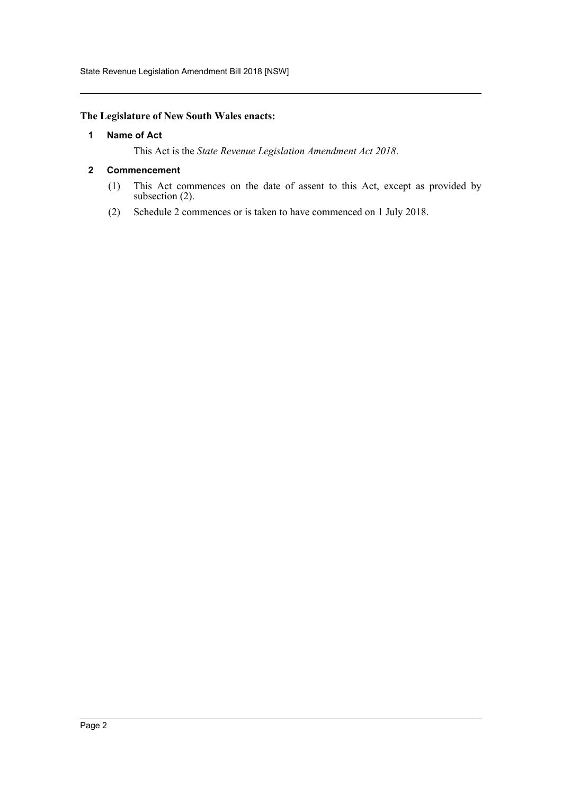State Revenue Legislation Amendment Bill 2018 [NSW]

#### <span id="page-2-0"></span>**The Legislature of New South Wales enacts:**

#### **1 Name of Act**

This Act is the *State Revenue Legislation Amendment Act 2018*.

#### <span id="page-2-1"></span>**2 Commencement**

- (1) This Act commences on the date of assent to this Act, except as provided by subsection (2).
- (2) Schedule 2 commences or is taken to have commenced on 1 July 2018.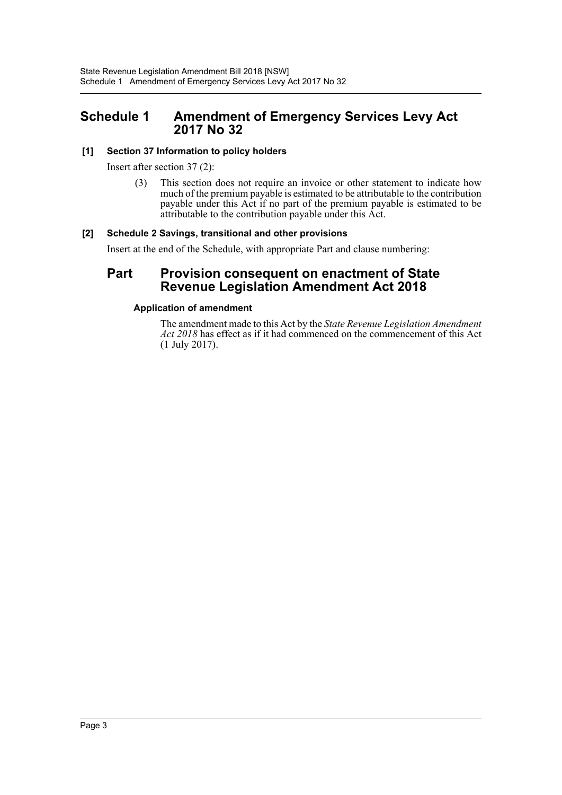### <span id="page-3-0"></span>**Schedule 1 Amendment of Emergency Services Levy Act 2017 No 32**

#### **[1] Section 37 Information to policy holders**

Insert after section 37 (2):

(3) This section does not require an invoice or other statement to indicate how much of the premium payable is estimated to be attributable to the contribution payable under this Act if no part of the premium payable is estimated to be attributable to the contribution payable under this Act.

#### **[2] Schedule 2 Savings, transitional and other provisions**

Insert at the end of the Schedule, with appropriate Part and clause numbering:

### **Part Provision consequent on enactment of State Revenue Legislation Amendment Act 2018**

#### **Application of amendment**

The amendment made to this Act by the *State Revenue Legislation Amendment Act 2018* has effect as if it had commenced on the commencement of this Act (1 July 2017).